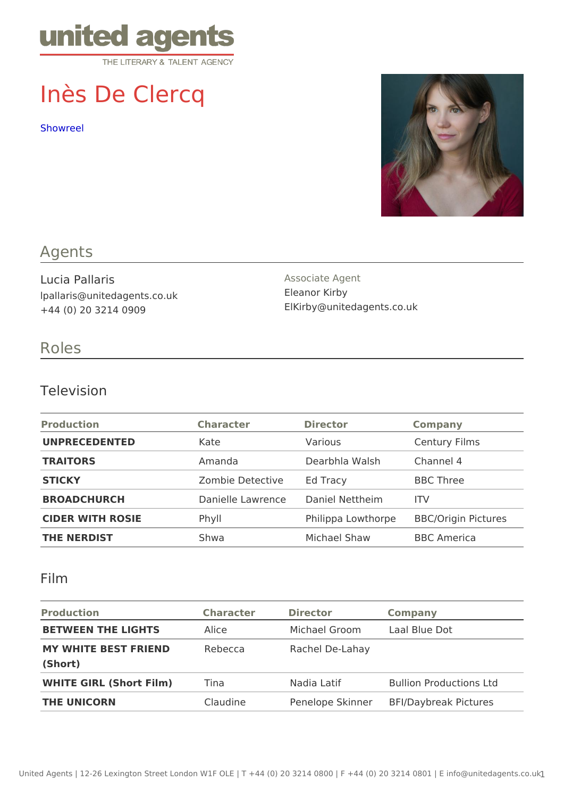# Inès De Clercq

[Showre](https://vimeo.com/389704921/dbbc87afcc)el

### Agents

Lucia Pallaris lpallaris@unitedagents.co.uk +44 (0) 20 3214 0909

Associate Agent Eleanor Kirby ElKirby@unitedagents.co.uk

#### Roles

#### Television

| Production         | Character               | Director                           | Company                             |
|--------------------|-------------------------|------------------------------------|-------------------------------------|
| UNPRECEDENTED      | Kate                    | Various                            | Century Films                       |
| TRAITORS           | Amanda                  | Dearbhla Walsh Channel 4           |                                     |
| STICKY             | Zombie Detectived Tracy |                                    | <b>BBC</b> Three                    |
| <b>BROADCHURCH</b> |                         | Danielle LawrenDaniel Nettheim ITV |                                     |
| CIDER WITH ROSIE   | P h y                   |                                    | Philippa LowthorBBC/Origin Pictures |
| THE NERDIST        | Shwa                    | Michael Shaw                       | BBC America                         |

#### Film

| Production                             | Character Director |                 | Company                              |
|----------------------------------------|--------------------|-----------------|--------------------------------------|
| BETWEEN THE LIGHTS Alice               |                    |                 | Michael Groom Laal Blue Dot          |
| MY WHITE BEST FRIENDRebecca<br>(Short) |                    | Rachel De-Lahay |                                      |
| WHITE GIRL (Short Film Tina            |                    | Nadia Latif     | <b>Bullion Productions Ltd</b>       |
| THE UNICORN                            | Claudine           |                 | Penelope SkinnBeFI/Daybreak Pictures |